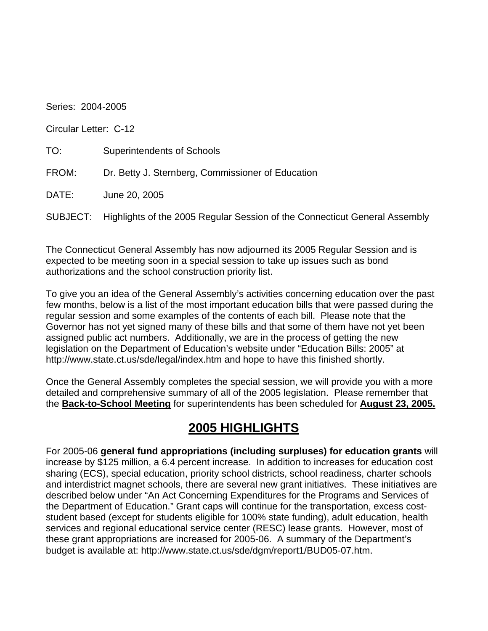Series: 2004-2005

Circular Letter: C-12

| TO:   | <b>Superintendents of Schools</b>                                                   |
|-------|-------------------------------------------------------------------------------------|
| FROM: | Dr. Betty J. Sternberg, Commissioner of Education                                   |
| DATE: | June 20, 2005                                                                       |
|       | SUBJECT: Highlights of the 2005 Regular Session of the Connecticut General Assembly |

The Connecticut General Assembly has now adjourned its 2005 Regular Session and is expected to be meeting soon in a special session to take up issues such as bond authorizations and the school construction priority list.

To give you an idea of the General Assembly's activities concerning education over the past few months, below is a list of the most important education bills that were passed during the regular session and some examples of the contents of each bill. Please note that the Governor has not yet signed many of these bills and that some of them have not yet been assigned public act numbers. Additionally, we are in the process of getting the new legislation on the Department of Education's website under "Education Bills: 2005" at http://www.state.ct.us/sde/legal/index.htm and hope to have this finished shortly.

Once the General Assembly completes the special session, we will provide you with a more detailed and comprehensive summary of all of the 2005 legislation. Please remember that the **Back-to-School Meeting** for superintendents has been scheduled for **August 23, 2005.** 

## **2005 HIGHLIGHTS**

For 2005-06 **general fund appropriations (including surpluses) for education grants** will increase by \$125 million, a 6.4 percent increase. In addition to increases for education cost sharing (ECS), special education, priority school districts, school readiness, charter schools and interdistrict magnet schools, there are several new grant initiatives. These initiatives are described below under "An Act Concerning Expenditures for the Programs and Services of the Department of Education." Grant caps will continue for the transportation, excess coststudent based (except for students eligible for 100% state funding), adult education, health services and regional educational service center (RESC) lease grants. However, most of these grant appropriations are increased for 2005-06. A summary of the Department's budget is available at: http://www.state.ct.us/sde/dgm/report1/BUD05-07.htm.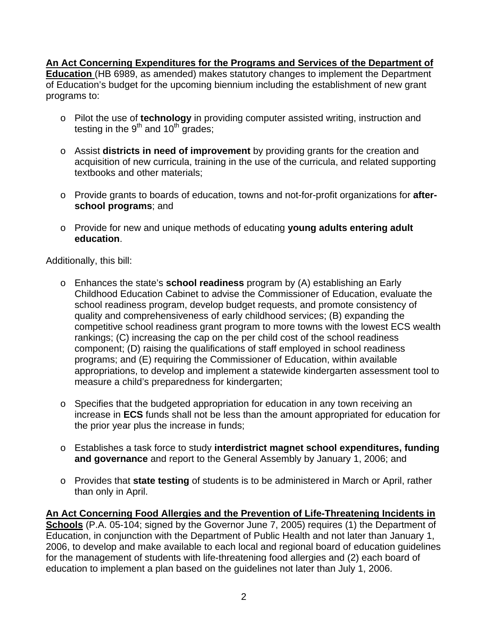**An Act Concerning Expenditures for the Programs and Services of the Department of Education** (HB 6989, as amended) makes statutory changes to implement the Department of Education's budget for the upcoming biennium including the establishment of new grant programs to:

- o Pilot the use of **technology** in providing computer assisted writing, instruction and testing in the  $9<sup>th</sup>$  and  $10<sup>th</sup>$  grades;
- o Assist **districts in need of improvement** by providing grants for the creation and acquisition of new curricula, training in the use of the curricula, and related supporting textbooks and other materials;
- o Provide grants to boards of education, towns and not-for-profit organizations for **afterschool programs**; and
- o Provide for new and unique methods of educating **young adults entering adult education**.

Additionally, this bill:

- o Enhances the state's **school readiness** program by (A) establishing an Early Childhood Education Cabinet to advise the Commissioner of Education, evaluate the school readiness program, develop budget requests, and promote consistency of quality and comprehensiveness of early childhood services; (B) expanding the competitive school readiness grant program to more towns with the lowest ECS wealth rankings; (C) increasing the cap on the per child cost of the school readiness component; (D) raising the qualifications of staff employed in school readiness programs; and (E) requiring the Commissioner of Education, within available appropriations, to develop and implement a statewide kindergarten assessment tool to measure a child's preparedness for kindergarten;
- o Specifies that the budgeted appropriation for education in any town receiving an increase in **ECS** funds shall not be less than the amount appropriated for education for the prior year plus the increase in funds;
- o Establishes a task force to study **interdistrict magnet school expenditures, funding and governance** and report to the General Assembly by January 1, 2006; and
- o Provides that **state testing** of students is to be administered in March or April, rather than only in April.

**An Act Concerning Food Allergies and the Prevention of Life-Threatening Incidents in Schools** (P.A. 05-104; signed by the Governor June 7, 2005) requires (1) the Department of Education, in conjunction with the Department of Public Health and not later than January 1, 2006, to develop and make available to each local and regional board of education guidelines for the management of students with life-threatening food allergies and (2) each board of education to implement a plan based on the guidelines not later than July 1, 2006.